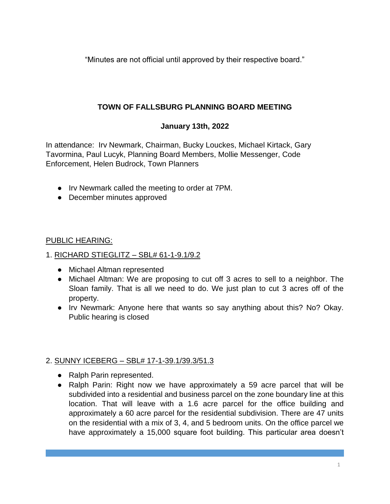"Minutes are not official until approved by their respective board."

# **TOWN OF FALLSBURG PLANNING BOARD MEETING**

# **January 13th, 2022**

In attendance: Irv Newmark, Chairman, Bucky Louckes, Michael Kirtack, Gary Tavormina, Paul Lucyk, Planning Board Members, Mollie Messenger, Code Enforcement, Helen Budrock, Town Planners

- Irv Newmark called the meeting to order at 7PM.
- December minutes approved

### PUBLIC HEARING:

- 1. RICHARD STIEGLITZ SBL# 61-1-9.1/9.2
	- Michael Altman represented
	- Michael Altman: We are proposing to cut off 3 acres to sell to a neighbor. The Sloan family. That is all we need to do. We just plan to cut 3 acres off of the property.
	- Irv Newmark: Anyone here that wants so say anything about this? No? Okay. Public hearing is closed

## 2. SUNNY ICEBERG – SBL# 17-1-39.1/39.3/51.3

- Ralph Parin represented.
- Ralph Parin: Right now we have approximately a 59 acre parcel that will be subdivided into a residential and business parcel on the zone boundary line at this location. That will leave with a 1.6 acre parcel for the office building and approximately a 60 acre parcel for the residential subdivision. There are 47 units on the residential with a mix of 3, 4, and 5 bedroom units. On the office parcel we have approximately a 15,000 square foot building. This particular area doesn't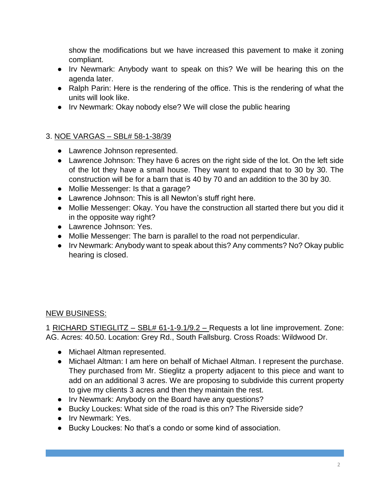show the modifications but we have increased this pavement to make it zoning compliant.

- Irv Newmark: Anybody want to speak on this? We will be hearing this on the agenda later.
- Ralph Parin: Here is the rendering of the office. This is the rendering of what the units will look like.
- Irv Newmark: Okay nobody else? We will close the public hearing

### 3. NOE VARGAS – SBL# 58-1-38/39

- Lawrence Johnson represented.
- Lawrence Johnson: They have 6 acres on the right side of the lot. On the left side of the lot they have a small house. They want to expand that to 30 by 30. The construction will be for a barn that is 40 by 70 and an addition to the 30 by 30.
- Mollie Messenger: Is that a garage?
- Lawrence Johnson: This is all Newton's stuff right here.
- Mollie Messenger: Okay. You have the construction all started there but you did it in the opposite way right?
- Lawrence Johnson: Yes.
- Mollie Messenger: The barn is parallel to the road not perpendicular.
- Irv Newmark: Anybody want to speak about this? Any comments? No? Okay public hearing is closed.

#### NEW BUSINESS:

1 RICHARD STIEGLITZ – SBL# 61-1-9.1/9.2 – Requests a lot line improvement. Zone: AG. Acres: 40.50. Location: Grey Rd., South Fallsburg. Cross Roads: Wildwood Dr.

- Michael Altman represented.
- Michael Altman: I am here on behalf of Michael Altman. I represent the purchase. They purchased from Mr. Stieglitz a property adjacent to this piece and want to add on an additional 3 acres. We are proposing to subdivide this current property to give my clients 3 acres and then they maintain the rest.
- Irv Newmark: Anybody on the Board have any questions?
- Bucky Louckes: What side of the road is this on? The Riverside side?
- Irv Newmark: Yes.
- Bucky Louckes: No that's a condo or some kind of association.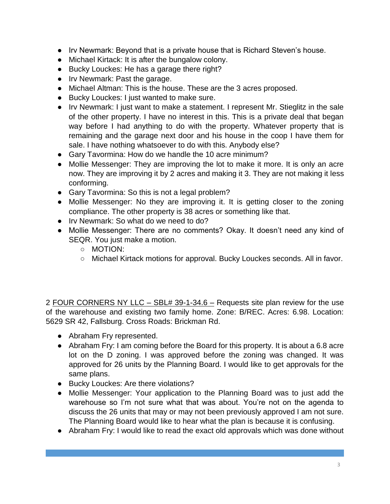- Irv Newmark: Beyond that is a private house that is Richard Steven's house.
- Michael Kirtack: It is after the bungalow colony.
- Bucky Louckes: He has a garage there right?
- Irv Newmark: Past the garage.
- Michael Altman: This is the house. These are the 3 acres proposed.
- Bucky Louckes: I just wanted to make sure.
- Irv Newmark: I just want to make a statement. I represent Mr. Stieglitz in the sale of the other property. I have no interest in this. This is a private deal that began way before I had anything to do with the property. Whatever property that is remaining and the garage next door and his house in the coop I have them for sale. I have nothing whatsoever to do with this. Anybody else?
- Gary Tavormina: How do we handle the 10 acre minimum?
- Mollie Messenger: They are improving the lot to make it more. It is only an acre now. They are improving it by 2 acres and making it 3. They are not making it less conforming.
- Gary Tavormina: So this is not a legal problem?
- Mollie Messenger: No they are improving it. It is getting closer to the zoning compliance. The other property is 38 acres or something like that.
- Irv Newmark: So what do we need to do?
- Mollie Messenger: There are no comments? Okay. It doesn't need any kind of SEQR. You just make a motion.
	- MOTION:
	- Michael Kirtack motions for approval. Bucky Louckes seconds. All in favor.

2 FOUR CORNERS NY LLC – SBL# 39-1-34.6 – Requests site plan review for the use of the warehouse and existing two family home. Zone: B/REC. Acres: 6.98. Location: 5629 SR 42, Fallsburg. Cross Roads: Brickman Rd.

- Abraham Fry represented.
- Abraham Fry: I am coming before the Board for this property. It is about a 6.8 acre lot on the D zoning. I was approved before the zoning was changed. It was approved for 26 units by the Planning Board. I would like to get approvals for the same plans.
- Bucky Louckes: Are there violations?
- Mollie Messenger: Your application to the Planning Board was to just add the warehouse so I'm not sure what that was about. You're not on the agenda to discuss the 26 units that may or may not been previously approved I am not sure. The Planning Board would like to hear what the plan is because it is confusing.
- Abraham Fry: I would like to read the exact old approvals which was done without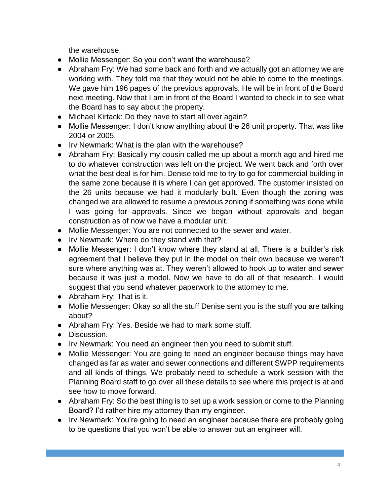the warehouse.

- Mollie Messenger: So you don't want the warehouse?
- Abraham Fry: We had some back and forth and we actually got an attorney we are working with. They told me that they would not be able to come to the meetings. We gave him 196 pages of the previous approvals. He will be in front of the Board next meeting. Now that I am in front of the Board I wanted to check in to see what the Board has to say about the property.
- Michael Kirtack: Do they have to start all over again?
- Mollie Messenger: I don't know anything about the 26 unit property. That was like 2004 or 2005.
- Irv Newmark: What is the plan with the warehouse?
- Abraham Fry: Basically my cousin called me up about a month ago and hired me to do whatever construction was left on the project. We went back and forth over what the best deal is for him. Denise told me to try to go for commercial building in the same zone because it is where I can get approved. The customer insisted on the 26 units because we had it modularly built. Even though the zoning was changed we are allowed to resume a previous zoning if something was done while I was going for approvals. Since we began without approvals and began construction as of now we have a modular unit.
- Mollie Messenger: You are not connected to the sewer and water.
- Irv Newmark: Where do they stand with that?
- Mollie Messenger: I don't know where they stand at all. There is a builder's risk agreement that I believe they put in the model on their own because we weren't sure where anything was at. They weren't allowed to hook up to water and sewer because it was just a model. Now we have to do all of that research. I would suggest that you send whatever paperwork to the attorney to me.
- Abraham Fry: That is it.
- Mollie Messenger: Okay so all the stuff Denise sent you is the stuff you are talking about?
- Abraham Fry: Yes. Beside we had to mark some stuff.
- Discussion.
- Irv Newmark: You need an engineer then you need to submit stuff.
- Mollie Messenger: You are going to need an engineer because things may have changed as far as water and sewer connections and different SWPP requirements and all kinds of things. We probably need to schedule a work session with the Planning Board staff to go over all these details to see where this project is at and see how to move forward.
- Abraham Fry: So the best thing is to set up a work session or come to the Planning Board? I'd rather hire my attorney than my engineer.
- Irv Newmark: You're going to need an engineer because there are probably going to be questions that you won't be able to answer but an engineer will.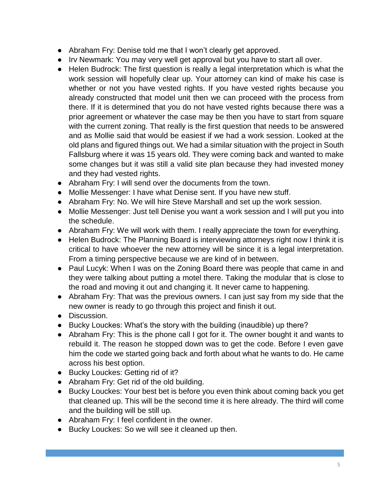- Abraham Fry: Denise told me that I won't clearly get approved.
- Irv Newmark: You may very well get approval but you have to start all over.
- Helen Budrock: The first question is really a legal interpretation which is what the work session will hopefully clear up. Your attorney can kind of make his case is whether or not you have vested rights. If you have vested rights because you already constructed that model unit then we can proceed with the process from there. If it is determined that you do not have vested rights because there was a prior agreement or whatever the case may be then you have to start from square with the current zoning. That really is the first question that needs to be answered and as Mollie said that would be easiest if we had a work session. Looked at the old plans and figured things out. We had a similar situation with the project in South Fallsburg where it was 15 years old. They were coming back and wanted to make some changes but it was still a valid site plan because they had invested money and they had vested rights.
- Abraham Fry: I will send over the documents from the town.
- Mollie Messenger: I have what Denise sent. If you have new stuff.
- Abraham Fry: No. We will hire Steve Marshall and set up the work session.
- Mollie Messenger: Just tell Denise you want a work session and I will put you into the schedule.
- Abraham Fry: We will work with them. I really appreciate the town for everything.
- Helen Budrock: The Planning Board is interviewing attorneys right now I think it is critical to have whoever the new attorney will be since it is a legal interpretation. From a timing perspective because we are kind of in between.
- Paul Lucyk: When I was on the Zoning Board there was people that came in and they were talking about putting a motel there. Taking the modular that is close to the road and moving it out and changing it. It never came to happening.
- Abraham Fry: That was the previous owners. I can just say from my side that the new owner is ready to go through this project and finish it out.
- Discussion.
- Bucky Louckes: What's the story with the building (inaudible) up there?
- Abraham Fry: This is the phone call I got for it. The owner bought it and wants to rebuild it. The reason he stopped down was to get the code. Before I even gave him the code we started going back and forth about what he wants to do. He came across his best option.
- Bucky Louckes: Getting rid of it?
- Abraham Fry: Get rid of the old building.
- Bucky Louckes: Your best bet is before you even think about coming back you get that cleaned up. This will be the second time it is here already. The third will come and the building will be still up.
- Abraham Fry: I feel confident in the owner.
- Bucky Louckes: So we will see it cleaned up then.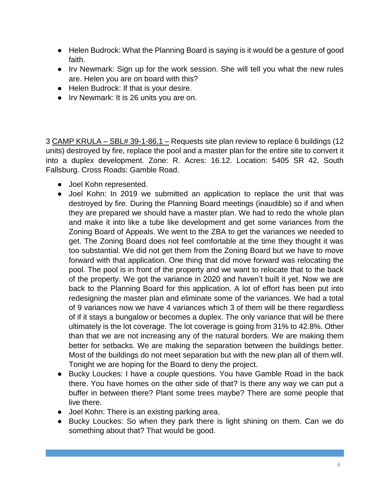- Helen Budrock: What the Planning Board is saying is it would be a gesture of good faith.
- Irv Newmark: Sign up for the work session. She will tell you what the new rules are. Helen you are on board with this?
- Helen Budrock: If that is your desire.
- Irv Newmark: It is 26 units you are on.

3 CAMP KRULA - SBL# 39-1-86.1 - Requests site plan review to replace 6 buildings (12 units) destroyed by fire, replace the pool and a master plan for the entire site to convert it into a duplex development. Zone: R. Acres: 16.12. Location: 5405 SR 42, South Fallsburg. Cross Roads: Gamble Road.

- Joel Kohn represented.
- Joel Kohn: In 2019 we submitted an application to replace the unit that was destroyed by fire. During the Planning Board meetings (inaudible) so if and when they are prepared we should have a master plan. We had to redo the whole plan and make it into like a tube like development and get some variances from the Zoning Board of Appeals. We went to the ZBA to get the variances we needed to get. The Zoning Board does not feel comfortable at the time they thought it was too substantial. We did not get them from the Zoning Board but we have to move forward with that application. One thing that did move forward was relocating the pool. The pool is in front of the property and we want to relocate that to the back of the property. We got the variance in 2020 and haven't built it yet. Now we are back to the Planning Board for this application. A lot of effort has been put into redesigning the master plan and eliminate some of the variances. We had a total of 9 variances now we have 4 variances which 3 of them will be there regardless of if it stays a bungalow or becomes a duplex. The only variance that will be there ultimately is the lot coverage. The lot coverage is going from 31% to 42.8%. Other than that we are not increasing any of the natural borders. We are making them better for setbacks. We are making the separation between the buildings better. Most of the buildings do not meet separation but with the new plan all of them will. Tonight we are hoping for the Board to deny the project.
- Bucky Louckes: I have a couple questions. You have Gamble Road in the back there. You have homes on the other side of that? Is there any way we can put a buffer in between there? Plant some trees maybe? There are some people that live there.
- Joel Kohn: There is an existing parking area.
- Bucky Louckes: So when they park there is light shining on them. Can we do something about that? That would be good.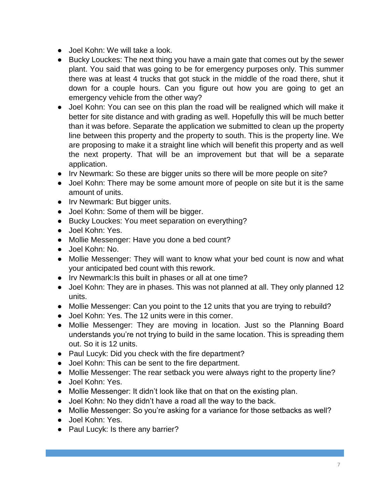- Joel Kohn: We will take a look.
- Bucky Louckes: The next thing you have a main gate that comes out by the sewer plant. You said that was going to be for emergency purposes only. This summer there was at least 4 trucks that got stuck in the middle of the road there, shut it down for a couple hours. Can you figure out how you are going to get an emergency vehicle from the other way?
- Joel Kohn: You can see on this plan the road will be realigned which will make it better for site distance and with grading as well. Hopefully this will be much better than it was before. Separate the application we submitted to clean up the property line between this property and the property to south. This is the property line. We are proposing to make it a straight line which will benefit this property and as well the next property. That will be an improvement but that will be a separate application.
- Irv Newmark: So these are bigger units so there will be more people on site?
- Joel Kohn: There may be some amount more of people on site but it is the same amount of units.
- Irv Newmark: But bigger units.
- Joel Kohn: Some of them will be bigger.
- Bucky Louckes: You meet separation on everything?
- Joel Kohn: Yes.
- Mollie Messenger: Have you done a bed count?
- Joel Kohn: No.
- Mollie Messenger: They will want to know what your bed count is now and what your anticipated bed count with this rework.
- Irv Newmark:Is this built in phases or all at one time?
- Joel Kohn: They are in phases. This was not planned at all. They only planned 12 units.
- Mollie Messenger: Can you point to the 12 units that you are trying to rebuild?
- Joel Kohn: Yes. The 12 units were in this corner.
- Mollie Messenger: They are moving in location. Just so the Planning Board understands you're not trying to build in the same location. This is spreading them out. So it is 12 units.
- Paul Lucyk: Did you check with the fire department?
- Joel Kohn: This can be sent to the fire department.
- Mollie Messenger: The rear setback you were always right to the property line?
- Joel Kohn: Yes.
- Mollie Messenger: It didn't look like that on that on the existing plan.
- Joel Kohn: No they didn't have a road all the way to the back.
- Mollie Messenger: So you're asking for a variance for those setbacks as well?
- Joel Kohn: Yes.
- Paul Lucyk: Is there any barrier?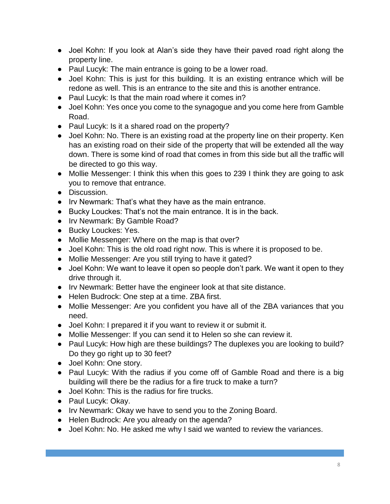- Joel Kohn: If you look at Alan's side they have their paved road right along the property line.
- Paul Lucyk: The main entrance is going to be a lower road.
- Joel Kohn: This is just for this building. It is an existing entrance which will be redone as well. This is an entrance to the site and this is another entrance.
- Paul Lucyk: Is that the main road where it comes in?
- Joel Kohn: Yes once you come to the synagogue and you come here from Gamble Road.
- Paul Lucyk: Is it a shared road on the property?
- Joel Kohn: No. There is an existing road at the property line on their property. Ken has an existing road on their side of the property that will be extended all the way down. There is some kind of road that comes in from this side but all the traffic will be directed to go this way.
- Mollie Messenger: I think this when this goes to 239 I think they are going to ask you to remove that entrance.
- Discussion.
- Irv Newmark: That's what they have as the main entrance.
- Bucky Louckes: That's not the main entrance. It is in the back.
- Irv Newmark: By Gamble Road?
- Bucky Louckes: Yes.
- Mollie Messenger: Where on the map is that over?
- Joel Kohn: This is the old road right now. This is where it is proposed to be.
- Mollie Messenger: Are you still trying to have it gated?
- Joel Kohn: We want to leave it open so people don't park. We want it open to they drive through it.
- Irv Newmark: Better have the engineer look at that site distance.
- Helen Budrock: One step at a time. ZBA first.
- Mollie Messenger: Are you confident you have all of the ZBA variances that you need.
- Joel Kohn: I prepared it if you want to review it or submit it.
- Mollie Messenger: If you can send it to Helen so she can review it.
- Paul Lucyk: How high are these buildings? The duplexes you are looking to build? Do they go right up to 30 feet?
- Joel Kohn: One story.
- Paul Lucyk: With the radius if you come off of Gamble Road and there is a big building will there be the radius for a fire truck to make a turn?
- Joel Kohn: This is the radius for fire trucks.
- Paul Lucyk: Okay.
- Irv Newmark: Okay we have to send you to the Zoning Board.
- Helen Budrock: Are you already on the agenda?
- Joel Kohn: No. He asked me why I said we wanted to review the variances.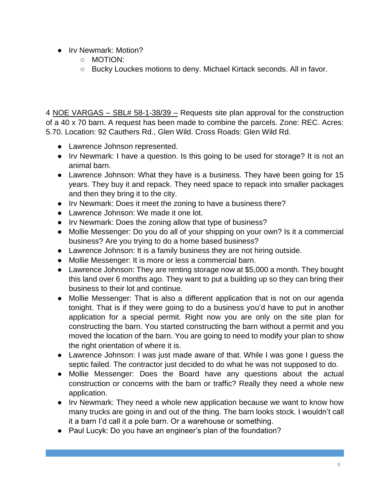- Irv Newmark: Motion?
	- MOTION:
	- Bucky Louckes motions to deny. Michael Kirtack seconds. All in favor.

4 NOE VARGAS – SBL# 58-1-38/39 – Requests site plan approval for the construction of a 40 x 70 barn. A request has been made to combine the parcels. Zone: REC. Acres: 5.70. Location: 92 Cauthers Rd., Glen Wild. Cross Roads: Glen Wild Rd.

- Lawrence Johnson represented.
- Irv Newmark: I have a question. Is this going to be used for storage? It is not an animal barn.
- Lawrence Johnson: What they have is a business. They have been going for 15 years. They buy it and repack. They need space to repack into smaller packages and then they bring it to the city.
- Irv Newmark: Does it meet the zoning to have a business there?
- Lawrence Johnson: We made it one lot.
- Irv Newmark: Does the zoning allow that type of business?
- Mollie Messenger: Do you do all of your shipping on your own? Is it a commercial business? Are you trying to do a home based business?
- Lawrence Johnson: It is a family business they are not hiring outside.
- Mollie Messenger: It is more or less a commercial barn.
- Lawrence Johnson: They are renting storage now at \$5,000 a month. They bought this land over 6 months ago. They want to put a building up so they can bring their business to their lot and continue.
- Mollie Messenger: That is also a different application that is not on our agenda tonight. That is if they were going to do a business you'd have to put in another application for a special permit. Right now you are only on the site plan for constructing the barn. You started constructing the barn without a permit and you moved the location of the barn. You are going to need to modify your plan to show the right orientation of where it is.
- Lawrence Johnson: I was just made aware of that. While I was gone I quess the septic failed. The contractor just decided to do what he was not supposed to do.
- Mollie Messenger: Does the Board have any questions about the actual construction or concerns with the barn or traffic? Really they need a whole new application.
- Irv Newmark: They need a whole new application because we want to know how many trucks are going in and out of the thing. The barn looks stock. I wouldn't call it a barn I'd call it a pole barn. Or a warehouse or something.
- Paul Lucyk: Do you have an engineer's plan of the foundation?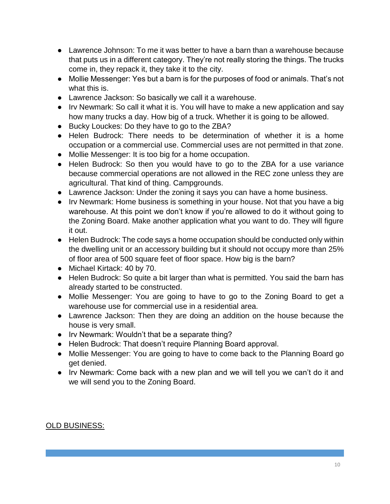- Lawrence Johnson: To me it was better to have a barn than a warehouse because that puts us in a different category. They're not really storing the things. The trucks come in, they repack it, they take it to the city.
- Mollie Messenger: Yes but a barn is for the purposes of food or animals. That's not what this is.
- Lawrence Jackson: So basically we call it a warehouse.
- Irv Newmark: So call it what it is. You will have to make a new application and say how many trucks a day. How big of a truck. Whether it is going to be allowed.
- Bucky Louckes: Do they have to go to the ZBA?
- Helen Budrock: There needs to be determination of whether it is a home occupation or a commercial use. Commercial uses are not permitted in that zone.
- Mollie Messenger: It is too big for a home occupation.
- Helen Budrock: So then you would have to go to the ZBA for a use variance because commercial operations are not allowed in the REC zone unless they are agricultural. That kind of thing. Campgrounds.
- Lawrence Jackson: Under the zoning it says you can have a home business.
- Irv Newmark: Home business is something in your house. Not that you have a big warehouse. At this point we don't know if you're allowed to do it without going to the Zoning Board. Make another application what you want to do. They will figure it out.
- Helen Budrock: The code says a home occupation should be conducted only within the dwelling unit or an accessory building but it should not occupy more than 25% of floor area of 500 square feet of floor space. How big is the barn?
- Michael Kirtack: 40 by 70.
- Helen Budrock: So quite a bit larger than what is permitted. You said the barn has already started to be constructed.
- Mollie Messenger: You are going to have to go to the Zoning Board to get a warehouse use for commercial use in a residential area.
- Lawrence Jackson: Then they are doing an addition on the house because the house is very small.
- Irv Newmark: Wouldn't that be a separate thing?
- Helen Budrock: That doesn't require Planning Board approval.
- Mollie Messenger: You are going to have to come back to the Planning Board go get denied.
- Irv Newmark: Come back with a new plan and we will tell you we can't do it and we will send you to the Zoning Board.

## OLD BUSINESS: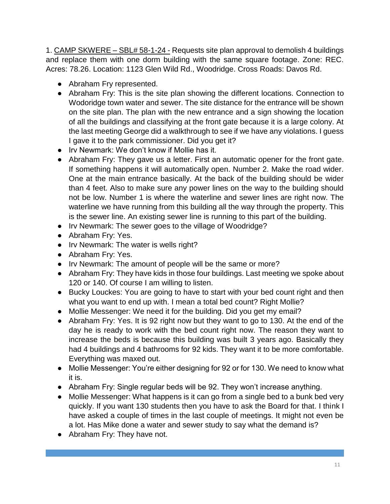1. CAMP SKWERE – SBL# 58-1-24 - Requests site plan approval to demolish 4 buildings and replace them with one dorm building with the same square footage. Zone: REC. Acres: 78.26. Location: 1123 Glen Wild Rd., Woodridge. Cross Roads: Davos Rd.

- Abraham Fry represented.
- Abraham Fry: This is the site plan showing the different locations. Connection to Wodoridge town water and sewer. The site distance for the entrance will be shown on the site plan. The plan with the new entrance and a sign showing the location of all the buildings and classifying at the front gate because it is a large colony. At the last meeting George did a walkthrough to see if we have any violations. I guess I gave it to the park commissioner. Did you get it?
- Irv Newmark: We don't know if Mollie has it.
- Abraham Fry: They gave us a letter. First an automatic opener for the front gate. If something happens it will automatically open. Number 2. Make the road wider. One at the main entrance basically. At the back of the building should be wider than 4 feet. Also to make sure any power lines on the way to the building should not be low. Number 1 is where the waterline and sewer lines are right now. The waterline we have running from this building all the way through the property. This is the sewer line. An existing sewer line is running to this part of the building.
- Irv Newmark: The sewer goes to the village of Woodridge?
- Abraham Fry: Yes.
- Irv Newmark: The water is wells right?
- Abraham Fry: Yes.
- Irv Newmark: The amount of people will be the same or more?
- Abraham Fry: They have kids in those four buildings. Last meeting we spoke about 120 or 140. Of course I am willing to listen.
- Bucky Louckes: You are going to have to start with your bed count right and then what you want to end up with. I mean a total bed count? Right Mollie?
- Mollie Messenger: We need it for the building. Did you get my email?
- Abraham Fry: Yes. It is 92 right now but they want to go to 130. At the end of the day he is ready to work with the bed count right now. The reason they want to increase the beds is because this building was built 3 years ago. Basically they had 4 buildings and 4 bathrooms for 92 kids. They want it to be more comfortable. Everything was maxed out.
- Mollie Messenger: You're either designing for 92 or for 130. We need to know what it is.
- Abraham Fry: Single regular beds will be 92. They won't increase anything.
- Mollie Messenger: What happens is it can go from a single bed to a bunk bed very quickly. If you want 130 students then you have to ask the Board for that. I think I have asked a couple of times in the last couple of meetings. It might not even be a lot. Has Mike done a water and sewer study to say what the demand is?
- Abraham Fry: They have not.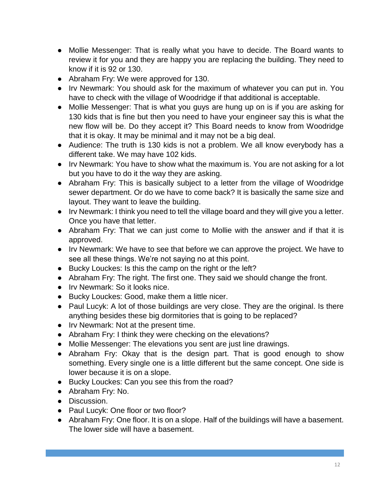- Mollie Messenger: That is really what you have to decide. The Board wants to review it for you and they are happy you are replacing the building. They need to know if it is 92 or 130.
- Abraham Fry: We were approved for 130.
- Irv Newmark: You should ask for the maximum of whatever you can put in. You have to check with the village of Woodridge if that additional is acceptable.
- Mollie Messenger: That is what you guys are hung up on is if you are asking for 130 kids that is fine but then you need to have your engineer say this is what the new flow will be. Do they accept it? This Board needs to know from Woodridge that it is okay. It may be minimal and it may not be a big deal.
- Audience: The truth is 130 kids is not a problem. We all know everybody has a different take. We may have 102 kids.
- Irv Newmark: You have to show what the maximum is. You are not asking for a lot but you have to do it the way they are asking.
- Abraham Fry: This is basically subject to a letter from the village of Woodridge sewer department. Or do we have to come back? It is basically the same size and layout. They want to leave the building.
- Irv Newmark: I think you need to tell the village board and they will give you a letter. Once you have that letter.
- Abraham Fry: That we can just come to Mollie with the answer and if that it is approved.
- Irv Newmark: We have to see that before we can approve the project. We have to see all these things. We're not saying no at this point.
- Bucky Louckes: Is this the camp on the right or the left?
- Abraham Fry: The right. The first one. They said we should change the front.
- Irv Newmark: So it looks nice.
- Bucky Louckes: Good, make them a little nicer.
- Paul Lucyk: A lot of those buildings are very close. They are the original. Is there anything besides these big dormitories that is going to be replaced?
- Irv Newmark: Not at the present time.
- Abraham Fry: I think they were checking on the elevations?
- Mollie Messenger: The elevations you sent are just line drawings.
- Abraham Fry: Okay that is the design part. That is good enough to show something. Every single one is a little different but the same concept. One side is lower because it is on a slope.
- Bucky Louckes: Can you see this from the road?
- Abraham Fry: No.
- Discussion.
- Paul Lucyk: One floor or two floor?
- Abraham Fry: One floor. It is on a slope. Half of the buildings will have a basement. The lower side will have a basement.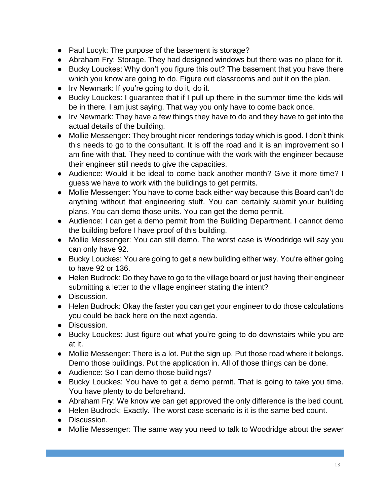- Paul Lucyk: The purpose of the basement is storage?
- Abraham Fry: Storage. They had designed windows but there was no place for it.
- Bucky Louckes: Why don't you figure this out? The basement that you have there which you know are going to do. Figure out classrooms and put it on the plan.
- Irv Newmark: If you're going to do it, do it.
- Bucky Louckes: I guarantee that if I pull up there in the summer time the kids will be in there. I am just saying. That way you only have to come back once.
- Irv Newmark: They have a few things they have to do and they have to get into the actual details of the building.
- Mollie Messenger: They brought nicer renderings today which is good. I don't think this needs to go to the consultant. It is off the road and it is an improvement so I am fine with that. They need to continue with the work with the engineer because their engineer still needs to give the capacities.
- Audience: Would it be ideal to come back another month? Give it more time? I guess we have to work with the buildings to get permits.
- Mollie Messenger: You have to come back either way because this Board can't do anything without that engineering stuff. You can certainly submit your building plans. You can demo those units. You can get the demo permit.
- Audience: I can get a demo permit from the Building Department. I cannot demo the building before I have proof of this building.
- Mollie Messenger: You can still demo. The worst case is Woodridge will say you can only have 92.
- Bucky Louckes: You are going to get a new building either way. You're either going to have 92 or 136.
- Helen Budrock: Do they have to go to the village board or just having their engineer submitting a letter to the village engineer stating the intent?
- Discussion.
- Helen Budrock: Okay the faster you can get your engineer to do those calculations you could be back here on the next agenda.
- Discussion.
- Bucky Louckes: Just figure out what you're going to do downstairs while you are at it.
- Mollie Messenger: There is a lot. Put the sign up. Put those road where it belongs. Demo those buildings. Put the application in. All of those things can be done.
- Audience: So I can demo those buildings?
- Bucky Louckes: You have to get a demo permit. That is going to take you time. You have plenty to do beforehand.
- Abraham Fry: We know we can get approved the only difference is the bed count.
- Helen Budrock: Exactly. The worst case scenario is it is the same bed count.
- Discussion.
- Mollie Messenger: The same way you need to talk to Woodridge about the sewer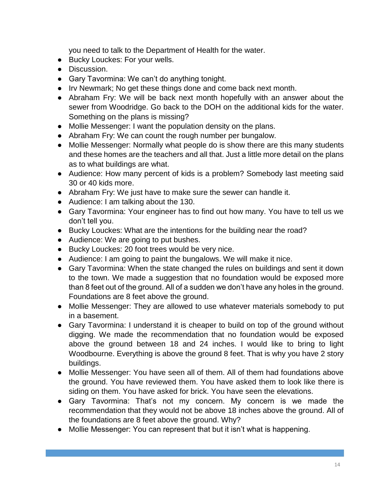you need to talk to the Department of Health for the water.

- Bucky Louckes: For your wells.
- Discussion.
- Gary Tavormina: We can't do anything tonight.
- Irv Newmark; No get these things done and come back next month.
- Abraham Fry: We will be back next month hopefully with an answer about the sewer from Woodridge. Go back to the DOH on the additional kids for the water. Something on the plans is missing?
- Mollie Messenger: I want the population density on the plans.
- Abraham Fry: We can count the rough number per bungalow.
- Mollie Messenger: Normally what people do is show there are this many students and these homes are the teachers and all that. Just a little more detail on the plans as to what buildings are what.
- Audience: How many percent of kids is a problem? Somebody last meeting said 30 or 40 kids more.
- Abraham Fry: We just have to make sure the sewer can handle it.
- Audience: I am talking about the 130.
- Gary Tavormina: Your engineer has to find out how many. You have to tell us we don't tell you.
- Bucky Louckes: What are the intentions for the building near the road?
- Audience: We are going to put bushes.
- Bucky Louckes: 20 foot trees would be very nice.
- Audience: I am going to paint the bungalows. We will make it nice.
- Gary Tavormina: When the state changed the rules on buildings and sent it down to the town. We made a suggestion that no foundation would be exposed more than 8 feet out of the ground. All of a sudden we don't have any holes in the ground. Foundations are 8 feet above the ground.
- Mollie Messenger: They are allowed to use whatever materials somebody to put in a basement.
- Gary Tavormina: I understand it is cheaper to build on top of the ground without digging. We made the recommendation that no foundation would be exposed above the ground between 18 and 24 inches. I would like to bring to light Woodbourne. Everything is above the ground 8 feet. That is why you have 2 story buildings.
- Mollie Messenger: You have seen all of them. All of them had foundations above the ground. You have reviewed them. You have asked them to look like there is siding on them. You have asked for brick. You have seen the elevations.
- Gary Tavormina: That's not my concern. My concern is we made the recommendation that they would not be above 18 inches above the ground. All of the foundations are 8 feet above the ground. Why?
- Mollie Messenger: You can represent that but it isn't what is happening.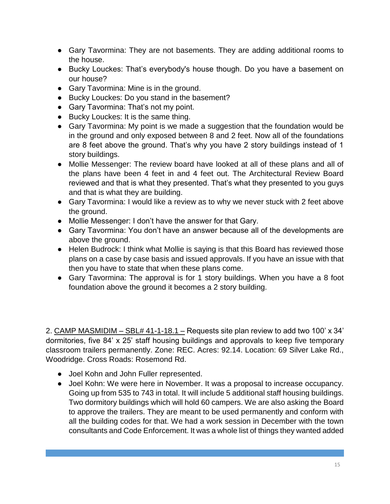- Gary Tavormina: They are not basements. They are adding additional rooms to the house.
- Bucky Louckes: That's everybody's house though. Do you have a basement on our house?
- Gary Tavormina: Mine is in the ground.
- Bucky Louckes: Do you stand in the basement?
- Gary Tavormina: That's not my point.
- Bucky Louckes: It is the same thing.
- Gary Tavormina: My point is we made a suggestion that the foundation would be in the ground and only exposed between 8 and 2 feet. Now all of the foundations are 8 feet above the ground. That's why you have 2 story buildings instead of 1 story buildings.
- Mollie Messenger: The review board have looked at all of these plans and all of the plans have been 4 feet in and 4 feet out. The Architectural Review Board reviewed and that is what they presented. That's what they presented to you guys and that is what they are building.
- Gary Tavormina: I would like a review as to why we never stuck with 2 feet above the ground.
- Mollie Messenger: I don't have the answer for that Gary.
- Gary Tavormina: You don't have an answer because all of the developments are above the ground.
- Helen Budrock: I think what Mollie is saying is that this Board has reviewed those plans on a case by case basis and issued approvals. If you have an issue with that then you have to state that when these plans come.
- Gary Tavormina: The approval is for 1 story buildings. When you have a 8 foot foundation above the ground it becomes a 2 story building.

2. CAMP MASMIDIM – SBL# 41-1-18.1 – Requests site plan review to add two 100' x 34' dormitories, five 84' x 25' staff housing buildings and approvals to keep five temporary classroom trailers permanently. Zone: REC. Acres: 92.14. Location: 69 Silver Lake Rd., Woodridge. Cross Roads: Rosemond Rd.

- Joel Kohn and John Fuller represented.
- Joel Kohn: We were here in November. It was a proposal to increase occupancy. Going up from 535 to 743 in total. It will include 5 additional staff housing buildings. Two dormitory buildings which will hold 60 campers. We are also asking the Board to approve the trailers. They are meant to be used permanently and conform with all the building codes for that. We had a work session in December with the town consultants and Code Enforcement. It was a whole list of things they wanted added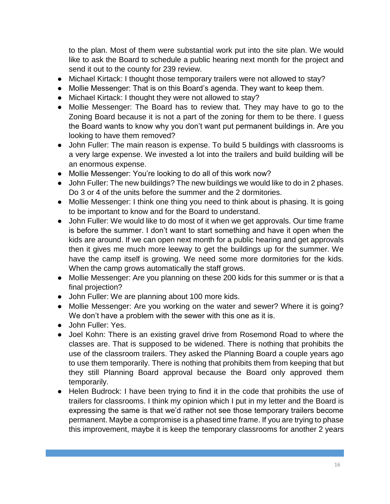to the plan. Most of them were substantial work put into the site plan. We would like to ask the Board to schedule a public hearing next month for the project and send it out to the county for 239 review.

- Michael Kirtack: I thought those temporary trailers were not allowed to stay?
- Mollie Messenger: That is on this Board's agenda. They want to keep them.
- Michael Kirtack: I thought they were not allowed to stay?
- Mollie Messenger: The Board has to review that. They may have to go to the Zoning Board because it is not a part of the zoning for them to be there. I guess the Board wants to know why you don't want put permanent buildings in. Are you looking to have them removed?
- John Fuller: The main reason is expense. To build 5 buildings with classrooms is a very large expense. We invested a lot into the trailers and build building will be an enormous expense.
- Mollie Messenger: You're looking to do all of this work now?
- John Fuller: The new buildings? The new buildings we would like to do in 2 phases. Do 3 or 4 of the units before the summer and the 2 dormitories.
- Mollie Messenger: I think one thing you need to think about is phasing. It is going to be important to know and for the Board to understand.
- John Fuller: We would like to do most of it when we get approvals. Our time frame is before the summer. I don't want to start something and have it open when the kids are around. If we can open next month for a public hearing and get approvals then it gives me much more leeway to get the buildings up for the summer. We have the camp itself is growing. We need some more dormitories for the kids. When the camp grows automatically the staff grows.
- Mollie Messenger: Are you planning on these 200 kids for this summer or is that a final projection?
- John Fuller: We are planning about 100 more kids.
- Mollie Messenger: Are you working on the water and sewer? Where it is going? We don't have a problem with the sewer with this one as it is.
- John Fuller: Yes.
- Joel Kohn: There is an existing gravel drive from Rosemond Road to where the classes are. That is supposed to be widened. There is nothing that prohibits the use of the classroom trailers. They asked the Planning Board a couple years ago to use them temporarily. There is nothing that prohibits them from keeping that but they still Planning Board approval because the Board only approved them temporarily.
- Helen Budrock: I have been trying to find it in the code that prohibits the use of trailers for classrooms. I think my opinion which I put in my letter and the Board is expressing the same is that we'd rather not see those temporary trailers become permanent. Maybe a compromise is a phased time frame. If you are trying to phase this improvement, maybe it is keep the temporary classrooms for another 2 years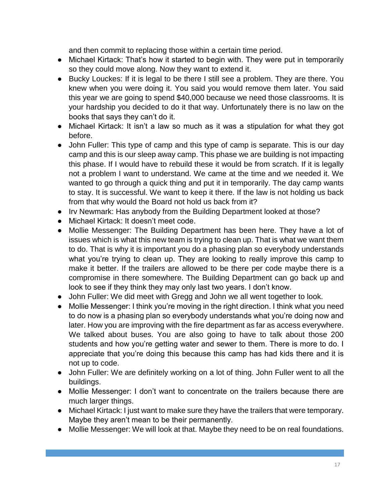and then commit to replacing those within a certain time period.

- Michael Kirtack: That's how it started to begin with. They were put in temporarily so they could move along. Now they want to extend it.
- Bucky Louckes: If it is legal to be there I still see a problem. They are there. You knew when you were doing it. You said you would remove them later. You said this year we are going to spend \$40,000 because we need those classrooms. It is your hardship you decided to do it that way. Unfortunately there is no law on the books that says they can't do it.
- Michael Kirtack: It isn't a law so much as it was a stipulation for what they got before.
- John Fuller: This type of camp and this type of camp is separate. This is our day camp and this is our sleep away camp. This phase we are building is not impacting this phase. If I would have to rebuild these it would be from scratch. If it is legally not a problem I want to understand. We came at the time and we needed it. We wanted to go through a quick thing and put it in temporarily. The day camp wants to stay. It is successful. We want to keep it there. If the law is not holding us back from that why would the Board not hold us back from it?
- Irv Newmark: Has anybody from the Building Department looked at those?
- Michael Kirtack: It doesn't meet code.
- Mollie Messenger: The Building Department has been here. They have a lot of issues which is what this new team is trying to clean up. That is what we want them to do. That is why it is important you do a phasing plan so everybody understands what you're trying to clean up. They are looking to really improve this camp to make it better. If the trailers are allowed to be there per code maybe there is a compromise in there somewhere. The Building Department can go back up and look to see if they think they may only last two years. I don't know.
- John Fuller: We did meet with Gregg and John we all went together to look.
- Mollie Messenger: I think you're moving in the right direction. I think what you need to do now is a phasing plan so everybody understands what you're doing now and later. How you are improving with the fire department as far as access everywhere. We talked about buses. You are also going to have to talk about those 200 students and how you're getting water and sewer to them. There is more to do. I appreciate that you're doing this because this camp has had kids there and it is not up to code.
- John Fuller: We are definitely working on a lot of thing. John Fuller went to all the buildings.
- Mollie Messenger: I don't want to concentrate on the trailers because there are much larger things.
- Michael Kirtack: I just want to make sure they have the trailers that were temporary. Maybe they aren't mean to be their permanently.
- Mollie Messenger: We will look at that. Maybe they need to be on real foundations.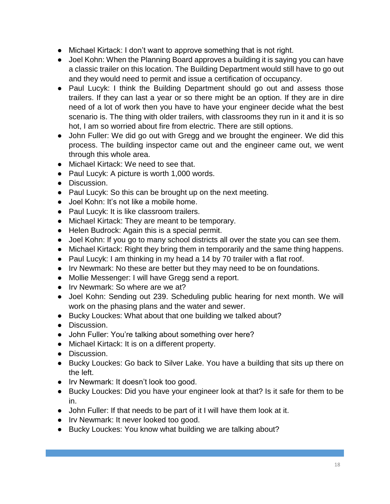- Michael Kirtack: I don't want to approve something that is not right.
- Joel Kohn: When the Planning Board approves a building it is saying you can have a classic trailer on this location. The Building Department would still have to go out and they would need to permit and issue a certification of occupancy.
- Paul Lucyk: I think the Building Department should go out and assess those trailers. If they can last a year or so there might be an option. If they are in dire need of a lot of work then you have to have your engineer decide what the best scenario is. The thing with older trailers, with classrooms they run in it and it is so hot, I am so worried about fire from electric. There are still options.
- John Fuller: We did go out with Gregg and we brought the engineer. We did this process. The building inspector came out and the engineer came out, we went through this whole area.
- Michael Kirtack: We need to see that.
- Paul Lucyk: A picture is worth 1,000 words.
- Discussion.
- Paul Lucyk: So this can be brought up on the next meeting.
- Joel Kohn: It's not like a mobile home.
- Paul Lucyk: It is like classroom trailers.
- Michael Kirtack: They are meant to be temporary.
- Helen Budrock: Again this is a special permit.
- Joel Kohn: If you go to many school districts all over the state you can see them.
- Michael Kirtack: Right they bring them in temporarily and the same thing happens.
- Paul Lucyk: I am thinking in my head a 14 by 70 trailer with a flat roof.
- Irv Newmark: No these are better but they may need to be on foundations.
- Mollie Messenger: I will have Gregg send a report.
- Irv Newmark: So where are we at?
- Joel Kohn: Sending out 239. Scheduling public hearing for next month. We will work on the phasing plans and the water and sewer.
- Bucky Louckes: What about that one building we talked about?
- Discussion.
- John Fuller: You're talking about something over here?
- Michael Kirtack: It is on a different property.
- Discussion.
- Bucky Louckes: Go back to Silver Lake. You have a building that sits up there on the left.
- Irv Newmark: It doesn't look too good.
- Bucky Louckes: Did you have your engineer look at that? Is it safe for them to be in.
- John Fuller: If that needs to be part of it I will have them look at it.
- Irv Newmark: It never looked too good.
- Bucky Louckes: You know what building we are talking about?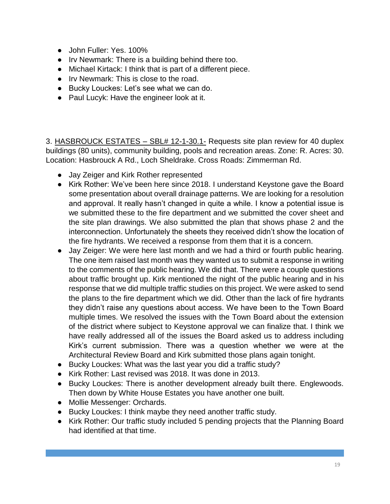- John Fuller: Yes. 100%
- Irv Newmark: There is a building behind there too.
- Michael Kirtack: I think that is part of a different piece.
- Irv Newmark: This is close to the road.
- Bucky Louckes: Let's see what we can do.
- Paul Lucyk: Have the engineer look at it.

3. HASBROUCK ESTATES – SBL# 12-1-30.1- Requests site plan review for 40 duplex buildings (80 units), community building, pools and recreation areas. Zone: R. Acres: 30. Location: Hasbrouck A Rd., Loch Sheldrake. Cross Roads: Zimmerman Rd.

- Jay Zeiger and Kirk Rother represented
- Kirk Rother: We've been here since 2018. I understand Keystone gave the Board some presentation about overall drainage patterns. We are looking for a resolution and approval. It really hasn't changed in quite a while. I know a potential issue is we submitted these to the fire department and we submitted the cover sheet and the site plan drawings. We also submitted the plan that shows phase 2 and the interconnection. Unfortunately the sheets they received didn't show the location of the fire hydrants. We received a response from them that it is a concern.
- Jay Zeiger: We were here last month and we had a third or fourth public hearing. The one item raised last month was they wanted us to submit a response in writing to the comments of the public hearing. We did that. There were a couple questions about traffic brought up. Kirk mentioned the night of the public hearing and in his response that we did multiple traffic studies on this project. We were asked to send the plans to the fire department which we did. Other than the lack of fire hydrants they didn't raise any questions about access. We have been to the Town Board multiple times. We resolved the issues with the Town Board about the extension of the district where subject to Keystone approval we can finalize that. I think we have really addressed all of the issues the Board asked us to address including Kirk's current submission. There was a question whether we were at the Architectural Review Board and Kirk submitted those plans again tonight.
- Bucky Louckes: What was the last year you did a traffic study?
- Kirk Rother: Last revised was 2018. It was done in 2013.
- Bucky Louckes: There is another development already built there. Englewoods. Then down by White House Estates you have another one built.
- Mollie Messenger: Orchards.
- Bucky Louckes: I think maybe they need another traffic study.
- Kirk Rother: Our traffic study included 5 pending projects that the Planning Board had identified at that time.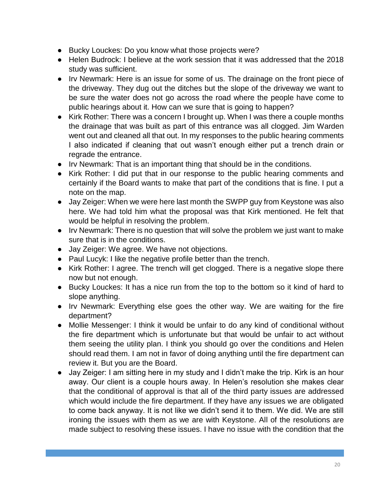- Bucky Louckes: Do you know what those projects were?
- Helen Budrock: I believe at the work session that it was addressed that the 2018 study was sufficient.
- Irv Newmark: Here is an issue for some of us. The drainage on the front piece of the driveway. They dug out the ditches but the slope of the driveway we want to be sure the water does not go across the road where the people have come to public hearings about it. How can we sure that is going to happen?
- Kirk Rother: There was a concern I brought up. When I was there a couple months the drainage that was built as part of this entrance was all clogged. Jim Warden went out and cleaned all that out. In my responses to the public hearing comments I also indicated if cleaning that out wasn't enough either put a trench drain or regrade the entrance.
- Irv Newmark: That is an important thing that should be in the conditions.
- Kirk Rother: I did put that in our response to the public hearing comments and certainly if the Board wants to make that part of the conditions that is fine. I put a note on the map.
- Jay Zeiger: When we were here last month the SWPP guy from Keystone was also here. We had told him what the proposal was that Kirk mentioned. He felt that would be helpful in resolving the problem.
- Irv Newmark: There is no question that will solve the problem we just want to make sure that is in the conditions.
- Jay Zeiger: We agree. We have not objections.
- Paul Lucyk: I like the negative profile better than the trench.
- Kirk Rother: I agree. The trench will get clogged. There is a negative slope there now but not enough.
- Bucky Louckes: It has a nice run from the top to the bottom so it kind of hard to slope anything.
- Irv Newmark: Everything else goes the other way. We are waiting for the fire department?
- Mollie Messenger: I think it would be unfair to do any kind of conditional without the fire department which is unfortunate but that would be unfair to act without them seeing the utility plan. I think you should go over the conditions and Helen should read them. I am not in favor of doing anything until the fire department can review it. But you are the Board.
- Jay Zeiger: I am sitting here in my study and I didn't make the trip. Kirk is an hour away. Our client is a couple hours away. In Helen's resolution she makes clear that the conditional of approval is that all of the third party issues are addressed which would include the fire department. If they have any issues we are obligated to come back anyway. It is not like we didn't send it to them. We did. We are still ironing the issues with them as we are with Keystone. All of the resolutions are made subject to resolving these issues. I have no issue with the condition that the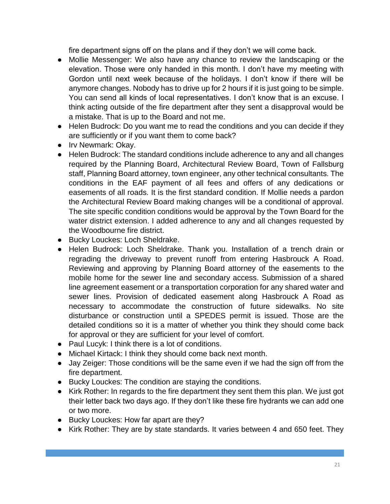fire department signs off on the plans and if they don't we will come back.

- Mollie Messenger: We also have any chance to review the landscaping or the elevation. Those were only handed in this month. I don't have my meeting with Gordon until next week because of the holidays. I don't know if there will be anymore changes. Nobody has to drive up for 2 hours if it is just going to be simple. You can send all kinds of local representatives. I don't know that is an excuse. I think acting outside of the fire department after they sent a disapproval would be a mistake. That is up to the Board and not me.
- Helen Budrock: Do you want me to read the conditions and you can decide if they are sufficiently or if you want them to come back?
- Irv Newmark: Okay.
- Helen Budrock: The standard conditions include adherence to any and all changes required by the Planning Board, Architectural Review Board, Town of Fallsburg staff, Planning Board attorney, town engineer, any other technical consultants. The conditions in the EAF payment of all fees and offers of any dedications or easements of all roads. It is the first standard condition. If Mollie needs a pardon the Architectural Review Board making changes will be a conditional of approval. The site specific condition conditions would be approval by the Town Board for the water district extension. I added adherence to any and all changes requested by the Woodbourne fire district.
- Bucky Louckes: Loch Sheldrake.
- Helen Budrock: Loch Sheldrake. Thank you. Installation of a trench drain or regrading the driveway to prevent runoff from entering Hasbrouck A Road. Reviewing and approving by Planning Board attorney of the easements to the mobile home for the sewer line and secondary access. Submission of a shared line agreement easement or a transportation corporation for any shared water and sewer lines. Provision of dedicated easement along Hasbrouck A Road as necessary to accommodate the construction of future sidewalks. No site disturbance or construction until a SPEDES permit is issued. Those are the detailed conditions so it is a matter of whether you think they should come back for approval or they are sufficient for your level of comfort.
- Paul Lucyk: I think there is a lot of conditions.
- Michael Kirtack: I think they should come back next month.
- Jay Zeiger: Those conditions will be the same even if we had the sign off from the fire department.
- Bucky Louckes: The condition are staying the conditions.
- Kirk Rother: In regards to the fire department they sent them this plan. We just got their letter back two days ago. If they don't like these fire hydrants we can add one or two more.
- Bucky Louckes: How far apart are they?
- Kirk Rother: They are by state standards. It varies between 4 and 650 feet. They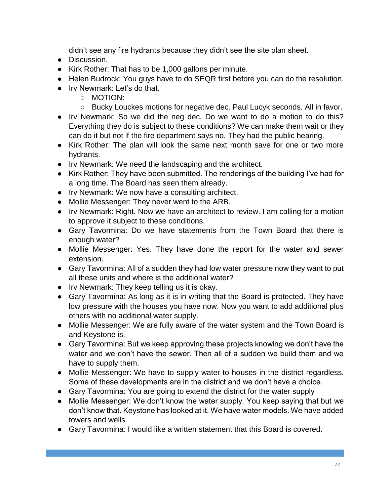didn't see any fire hydrants because they didn't see the site plan sheet.

- Discussion.
- Kirk Rother: That has to be 1,000 gallons per minute.
- Helen Budrock: You guys have to do SEQR first before you can do the resolution.
- Irv Newmark: Let's do that.
	- MOTION:
	- Bucky Louckes motions for negative dec. Paul Lucyk seconds. All in favor.
- Irv Newmark: So we did the neg dec. Do we want to do a motion to do this? Everything they do is subject to these conditions? We can make them wait or they can do it but not if the fire department says no. They had the public hearing.
- Kirk Rother: The plan will look the same next month save for one or two more hydrants.
- Irv Newmark: We need the landscaping and the architect.
- Kirk Rother: They have been submitted. The renderings of the building I've had for a long time. The Board has seen them already.
- Irv Newmark: We now have a consulting architect.
- Mollie Messenger: They never went to the ARB.
- Irv Newmark: Right. Now we have an architect to review. I am calling for a motion to approve it subject to these conditions.
- Gary Tavormina: Do we have statements from the Town Board that there is enough water?
- Mollie Messenger: Yes. They have done the report for the water and sewer extension.
- Gary Tavormina: All of a sudden they had low water pressure now they want to put all these units and where is the additional water?
- Irv Newmark: They keep telling us it is okay.
- Gary Tavormina: As long as it is in writing that the Board is protected. They have low pressure with the houses you have now. Now you want to add additional plus others with no additional water supply.
- Mollie Messenger: We are fully aware of the water system and the Town Board is and Keystone is.
- Gary Tavormina: But we keep approving these projects knowing we don't have the water and we don't have the sewer. Then all of a sudden we build them and we have to supply them.
- Mollie Messenger: We have to supply water to houses in the district regardless. Some of these developments are in the district and we don't have a choice.
- Gary Tavormina: You are going to extend the district for the water supply
- Mollie Messenger: We don't know the water supply. You keep saying that but we don't know that. Keystone has looked at it. We have water models. We have added towers and wells.
- Gary Tavormina: I would like a written statement that this Board is covered.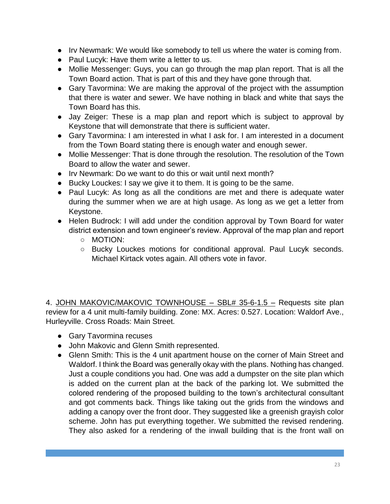- Irv Newmark: We would like somebody to tell us where the water is coming from.
- Paul Lucyk: Have them write a letter to us.
- Mollie Messenger: Guys, you can go through the map plan report. That is all the Town Board action. That is part of this and they have gone through that.
- Gary Tavormina: We are making the approval of the project with the assumption that there is water and sewer. We have nothing in black and white that says the Town Board has this.
- Jay Zeiger: These is a map plan and report which is subject to approval by Keystone that will demonstrate that there is sufficient water.
- Gary Tavormina: I am interested in what I ask for. I am interested in a document from the Town Board stating there is enough water and enough sewer.
- Mollie Messenger: That is done through the resolution. The resolution of the Town Board to allow the water and sewer.
- Irv Newmark: Do we want to do this or wait until next month?
- Bucky Louckes: I say we give it to them. It is going to be the same.
- Paul Lucyk: As long as all the conditions are met and there is adequate water during the summer when we are at high usage. As long as we get a letter from Keystone.
- Helen Budrock: I will add under the condition approval by Town Board for water district extension and town engineer's review. Approval of the map plan and report
	- MOTION:
	- Bucky Louckes motions for conditional approval. Paul Lucyk seconds. Michael Kirtack votes again. All others vote in favor.

4. JOHN MAKOVIC/MAKOVIC TOWNHOUSE – SBL# 35-6-1.5 – Requests site plan review for a 4 unit multi-family building. Zone: MX. Acres: 0.527. Location: Waldorf Ave., Hurleyville. Cross Roads: Main Street.

- Gary Tavormina recuses
- John Makovic and Glenn Smith represented.
- Glenn Smith: This is the 4 unit apartment house on the corner of Main Street and Waldorf. I think the Board was generally okay with the plans. Nothing has changed. Just a couple conditions you had. One was add a dumpster on the site plan which is added on the current plan at the back of the parking lot. We submitted the colored rendering of the proposed building to the town's architectural consultant and got comments back. Things like taking out the grids from the windows and adding a canopy over the front door. They suggested like a greenish grayish color scheme. John has put everything together. We submitted the revised rendering. They also asked for a rendering of the inwall building that is the front wall on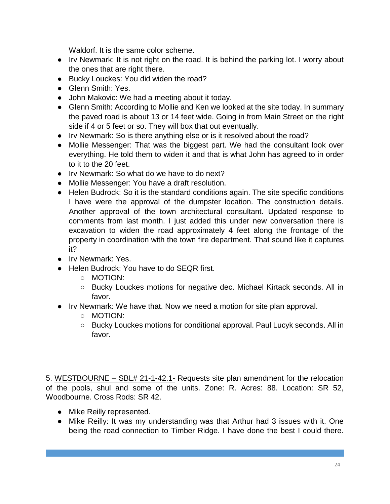Waldorf. It is the same color scheme.

- Irv Newmark: It is not right on the road. It is behind the parking lot. I worry about the ones that are right there.
- Bucky Louckes: You did widen the road?
- Glenn Smith: Yes.
- John Makovic: We had a meeting about it today.
- Glenn Smith: According to Mollie and Ken we looked at the site today. In summary the paved road is about 13 or 14 feet wide. Going in from Main Street on the right side if 4 or 5 feet or so. They will box that out eventually.
- Irv Newmark: So is there anything else or is it resolved about the road?
- Mollie Messenger: That was the biggest part. We had the consultant look over everything. He told them to widen it and that is what John has agreed to in order to it to the 20 feet.
- Irv Newmark: So what do we have to do next?
- Mollie Messenger: You have a draft resolution.
- Helen Budrock: So it is the standard conditions again. The site specific conditions I have were the approval of the dumpster location. The construction details. Another approval of the town architectural consultant. Updated response to comments from last month. I just added this under new conversation there is excavation to widen the road approximately 4 feet along the frontage of the property in coordination with the town fire department. That sound like it captures it?
- Irv Newmark: Yes.
- Helen Budrock: You have to do SEQR first.
	- MOTION:
	- Bucky Louckes motions for negative dec. Michael Kirtack seconds. All in favor.
- Irv Newmark: We have that. Now we need a motion for site plan approval.
	- MOTION:
	- Bucky Louckes motions for conditional approval. Paul Lucyk seconds. All in favor.

5. WESTBOURNE – SBL# 21-1-42.1- Requests site plan amendment for the relocation of the pools, shul and some of the units. Zone: R. Acres: 88. Location: SR 52, Woodbourne. Cross Rods: SR 42.

- Mike Reilly represented.
- Mike Reilly: It was my understanding was that Arthur had 3 issues with it. One being the road connection to Timber Ridge. I have done the best I could there.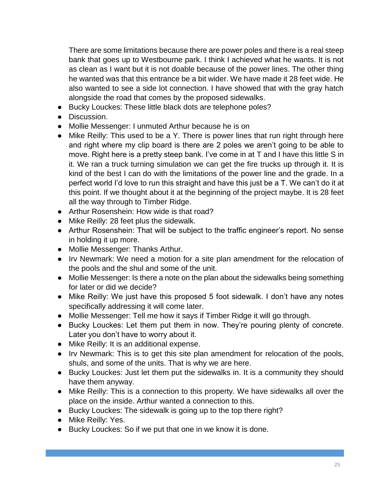There are some limitations because there are power poles and there is a real steep bank that goes up to Westbourne park. I think I achieved what he wants. It is not as clean as I want but it is not doable because of the power lines. The other thing he wanted was that this entrance be a bit wider. We have made it 28 feet wide. He also wanted to see a side lot connection. I have showed that with the gray hatch alongside the road that comes by the proposed sidewalks.

- Bucky Louckes: These little black dots are telephone poles?
- Discussion.
- Mollie Messenger: I unmuted Arthur because he is on
- Mike Reilly: This used to be a Y. There is power lines that run right through here and right where my clip board is there are 2 poles we aren't going to be able to move. Right here is a pretty steep bank. I've come in at T and I have this little S in it. We ran a truck turning simulation we can get the fire trucks up through it. It is kind of the best I can do with the limitations of the power line and the grade. In a perfect world I'd love to run this straight and have this just be a T. We can't do it at this point. If we thought about it at the beginning of the project maybe. It is 28 feet all the way through to Timber Ridge.
- Arthur Rosenshein: How wide is that road?
- Mike Reilly: 28 feet plus the sidewalk.
- Arthur Rosenshein: That will be subject to the traffic engineer's report. No sense in holding it up more.
- Mollie Messenger: Thanks Arthur.
- Irv Newmark: We need a motion for a site plan amendment for the relocation of the pools and the shul and some of the unit.
- Mollie Messenger: Is there a note on the plan about the sidewalks being something for later or did we decide?
- Mike Reilly: We just have this proposed 5 foot sidewalk. I don't have any notes specifically addressing it will come later.
- Mollie Messenger: Tell me how it says if Timber Ridge it will go through.
- Bucky Louckes: Let them put them in now. They're pouring plenty of concrete. Later you don't have to worry about it.
- Mike Reilly: It is an additional expense.
- Irv Newmark: This is to get this site plan amendment for relocation of the pools, shuls, and some of the units. That is why we are here.
- Bucky Louckes: Just let them put the sidewalks in. It is a community they should have them anyway.
- Mike Reilly: This is a connection to this property. We have sidewalks all over the place on the inside. Arthur wanted a connection to this.
- Bucky Louckes: The sidewalk is going up to the top there right?
- Mike Reilly: Yes.
- Bucky Louckes: So if we put that one in we know it is done.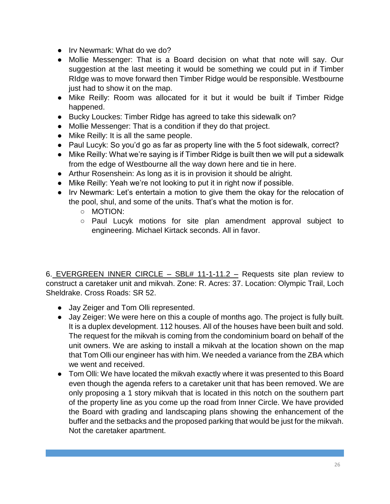- Irv Newmark: What do we do?
- Mollie Messenger: That is a Board decision on what that note will say. Our suggestion at the last meeting it would be something we could put in if Timber RIdge was to move forward then Timber Ridge would be responsible. Westbourne just had to show it on the map.
- Mike Reilly: Room was allocated for it but it would be built if Timber Ridge happened.
- Bucky Louckes: Timber Ridge has agreed to take this sidewalk on?
- Mollie Messenger: That is a condition if they do that project.
- Mike Reilly: It is all the same people.
- Paul Lucyk: So you'd go as far as property line with the 5 foot sidewalk, correct?
- Mike Reilly: What we're saying is if Timber Ridge is built then we will put a sidewalk from the edge of Westbourne all the way down here and tie in here.
- Arthur Rosenshein: As long as it is in provision it should be alright.
- Mike Reilly: Yeah we're not looking to put it in right now if possible.
- Irv Newmark: Let's entertain a motion to give them the okay for the relocation of the pool, shul, and some of the units. That's what the motion is for.
	- MOTION:
	- Paul Lucyk motions for site plan amendment approval subject to engineering. Michael Kirtack seconds. All in favor.

6. EVERGREEN INNER CIRCLE – SBL# 11-1-11.2 – Requests site plan review to construct a caretaker unit and mikvah. Zone: R. Acres: 37. Location: Olympic Trail, Loch Sheldrake. Cross Roads: SR 52.

- Jay Zeiger and Tom Olli represented.
- Jay Zeiger: We were here on this a couple of months ago. The project is fully built. It is a duplex development. 112 houses. All of the houses have been built and sold. The request for the mikvah is coming from the condominium board on behalf of the unit owners. We are asking to install a mikvah at the location shown on the map that Tom Olli our engineer has with him. We needed a variance from the ZBA which we went and received.
- Tom Olli: We have located the mikvah exactly where it was presented to this Board even though the agenda refers to a caretaker unit that has been removed. We are only proposing a 1 story mikvah that is located in this notch on the southern part of the property line as you come up the road from Inner Circle. We have provided the Board with grading and landscaping plans showing the enhancement of the buffer and the setbacks and the proposed parking that would be just for the mikvah. Not the caretaker apartment.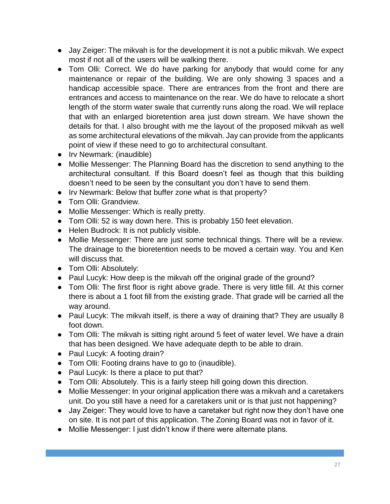- Jay Zeiger: The mikvah is for the development it is not a public mikvah. We expect most if not all of the users will be walking there.
- Tom Olli: Correct. We do have parking for anybody that would come for any maintenance or repair of the building. We are only showing 3 spaces and a handicap accessible space. There are entrances from the front and there are entrances and access to maintenance on the rear. We do have to relocate a short length of the storm water swale that currently runs along the road. We will replace that with an enlarged bioretention area just down stream. We have shown the details for that. I also brought with me the layout of the proposed mikvah as well as some architectural elevations of the mikvah. Jay can provide from the applicants point of view if these need to go to architectural consultant.
- Irv Newmark: (inaudible)
- Mollie Messenger: The Planning Board has the discretion to send anything to the architectural consultant. If this Board doesn't feel as though that this building doesn't need to be seen by the consultant you don't have to send them.
- Irv Newmark: Below that buffer zone what is that property?
- Tom Olli: Grandview.
- Mollie Messenger: Which is really pretty.
- Tom Olli: 52 is way down here. This is probably 150 feet elevation.
- Helen Budrock: It is not publicly visible.
- Mollie Messenger: There are just some technical things. There will be a review. The drainage to the bioretention needs to be moved a certain way. You and Ken will discuss that.
- Tom Olli: Absolutely:
- Paul Lucyk: How deep is the mikvah off the original grade of the ground?
- Tom Olli: The first floor is right above grade. There is very little fill. At this corner there is about a 1 foot fill from the existing grade. That grade will be carried all the way around.
- Paul Lucyk: The mikvah itself, is there a way of draining that? They are usually 8 foot down.
- Tom Olli: The mikvah is sitting right around 5 feet of water level. We have a drain that has been designed. We have adequate depth to be able to drain.
- Paul Lucyk: A footing drain?
- Tom Olli: Footing drains have to go to (inaudible).
- Paul Lucyk: Is there a place to put that?
- Tom Olli: Absolutely. This is a fairly steep hill going down this direction.
- Mollie Messenger: In your original application there was a mikvah and a caretakers unit. Do you still have a need for a caretakers unit or is that just not happening?
- Jay Zeiger: They would love to have a caretaker but right now they don't have one on site. It is not part of this application. The Zoning Board was not in favor of it.
- Mollie Messenger: I just didn't know if there were alternate plans.